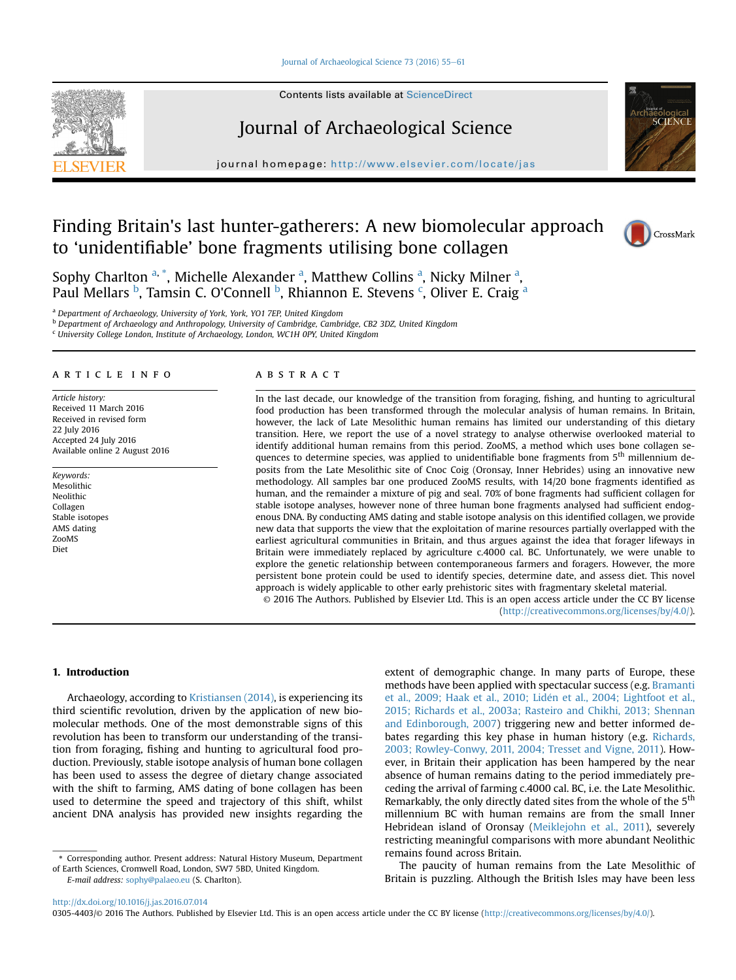#### [Journal of Archaeological Science 73 \(2016\) 55](http://dx.doi.org/10.1016/j.jas.2016.07.014)-[61](http://dx.doi.org/10.1016/j.jas.2016.07.014)



Contents lists available at ScienceDirect

# Journal of Archaeological Science

journal homepage: <http://www.elsevier.com/locate/jas>

# Finding Britain's last hunter-gatherers: A new biomolecular approach to 'unidentifiable' bone fragments utilising bone collagen



# CrossMark

Sophy Charlton <sup>a, \*</sup>, Michelle Alexander <sup>a</sup>, Matthew Collins <sup>a</sup>, Nicky Milner <sup>a</sup>, Paul Mellars <sup>b</sup>, Tamsin C. O'Connell <sup>b</sup>, Rhiannon E. Stevens <sup>c</sup>, Oliver E. Craig <sup>a</sup>

<sup>a</sup> Department of Archaeology, University of York, York, YO1 7EP, United Kingdom

<sup>b</sup> Department of Archaeology and Anthropology, University of Cambridge, Cambridge, CB2 3DZ, United Kingdom

 $c$  University College London, Institute of Archaeology, London, WC1H 0PY, United Kingdom

## article info

Article history: Received 11 March 2016 Received in revised form 22 July 2016 Accepted 24 July 2016 Available online 2 August 2016

Keywords: Mesolithic Neolithic Collagen Stable isotopes AMS dating ZooMS Diet

## ABSTRACT

In the last decade, our knowledge of the transition from foraging, fishing, and hunting to agricultural food production has been transformed through the molecular analysis of human remains. In Britain, however, the lack of Late Mesolithic human remains has limited our understanding of this dietary transition. Here, we report the use of a novel strategy to analyse otherwise overlooked material to identify additional human remains from this period. ZooMS, a method which uses bone collagen sequences to determine species, was applied to unidentifiable bone fragments from 5<sup>th</sup> millennium deposits from the Late Mesolithic site of Cnoc Coig (Oronsay, Inner Hebrides) using an innovative new methodology. All samples bar one produced ZooMS results, with 14/20 bone fragments identified as human, and the remainder a mixture of pig and seal. 70% of bone fragments had sufficient collagen for stable isotope analyses, however none of three human bone fragments analysed had sufficient endogenous DNA. By conducting AMS dating and stable isotope analysis on this identified collagen, we provide new data that supports the view that the exploitation of marine resources partially overlapped with the earliest agricultural communities in Britain, and thus argues against the idea that forager lifeways in Britain were immediately replaced by agriculture c.4000 cal. BC. Unfortunately, we were unable to explore the genetic relationship between contemporaneous farmers and foragers. However, the more persistent bone protein could be used to identify species, determine date, and assess diet. This novel approach is widely applicable to other early prehistoric sites with fragmentary skeletal material. © 2016 The Authors. Published by Elsevier Ltd. This is an open access article under the CC BY license

[\(http://creativecommons.org/licenses/by/4.0/](http://creativecommons.org/licenses/by/4.0/)).

#### 1. Introduction

Archaeology, according to [Kristiansen \(2014\),](#page-5-0) is experiencing its third scientific revolution, driven by the application of new biomolecular methods. One of the most demonstrable signs of this revolution has been to transform our understanding of the transition from foraging, fishing and hunting to agricultural food production. Previously, stable isotope analysis of human bone collagen has been used to assess the degree of dietary change associated with the shift to farming, AMS dating of bone collagen has been used to determine the speed and trajectory of this shift, whilst ancient DNA analysis has provided new insights regarding the

\* Corresponding author. Present address: Natural History Museum, Department of Earth Sciences, Cromwell Road, London, SW7 5BD, United Kingdom.

E-mail address: [sophy@palaeo.eu](mailto:sophy@palaeo.eu) (S. Charlton).

extent of demographic change. In many parts of Europe, these methods have been applied with spectacular success (e.g. [Bramanti](#page-5-0) [et al., 2009; Haak et al., 2010; Liden et al., 2004; Lightfoot et al.,](#page-5-0) [2015; Richards et al., 2003a; Rasteiro and Chikhi, 2013; Shennan](#page-5-0) [and Edinborough, 2007](#page-5-0)) triggering new and better informed debates regarding this key phase in human history (e.g. [Richards,](#page-6-0) [2003; Rowley-Conwy, 2011, 2004; Tresset and Vigne, 2011\)](#page-6-0). However, in Britain their application has been hampered by the near absence of human remains dating to the period immediately preceding the arrival of farming c.4000 cal. BC, i.e. the Late Mesolithic. Remarkably, the only directly dated sites from the whole of the 5<sup>th</sup> millennium BC with human remains are from the small Inner Hebridean island of Oronsay ([Meiklejohn et al., 2011](#page-6-0)), severely restricting meaningful comparisons with more abundant Neolithic remains found across Britain.

The paucity of human remains from the Late Mesolithic of Britain is puzzling. Although the British Isles may have been less

0305-4403/© 2016 The Authors. Published by Elsevier Ltd. This is an open access article under the CC BY license [\(http://creativecommons.org/licenses/by/4.0/\)](http://creativecommons.org/licenses/by/4.0/).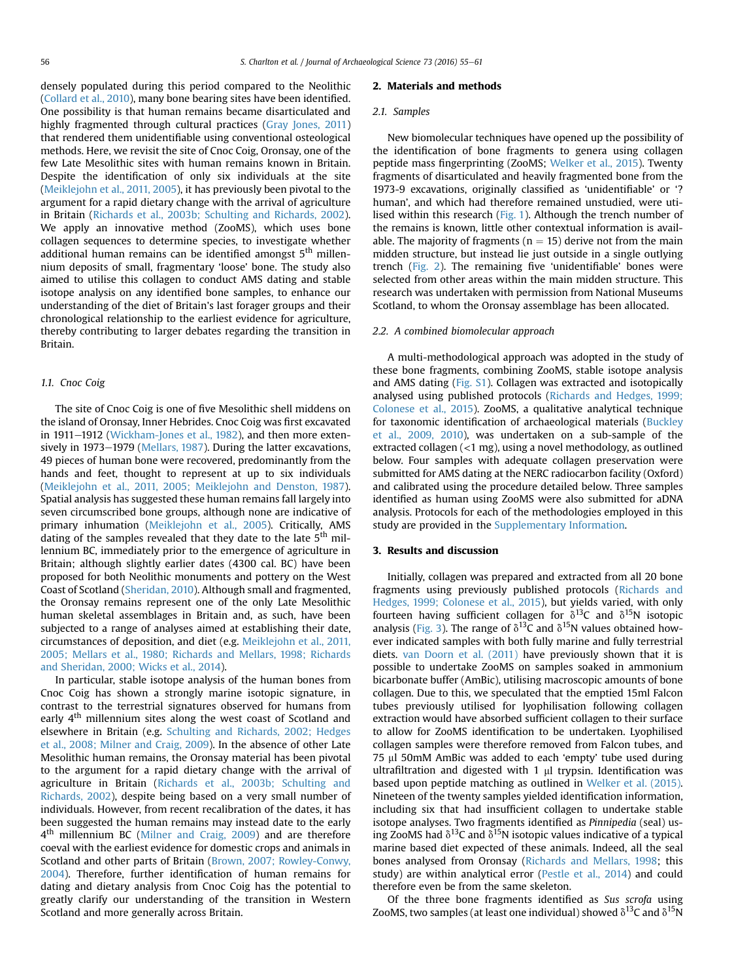densely populated during this period compared to the Neolithic ([Collard et al., 2010\)](#page-5-0), many bone bearing sites have been identified. One possibility is that human remains became disarticulated and highly fragmented through cultural practices ([Gray Jones, 2011\)](#page-5-0) that rendered them unidentifiable using conventional osteological methods. Here, we revisit the site of Cnoc Coig, Oronsay, one of the few Late Mesolithic sites with human remains known in Britain. Despite the identification of only six individuals at the site ([Meiklejohn et al., 2011, 2005\)](#page-6-0), it has previously been pivotal to the argument for a rapid dietary change with the arrival of agriculture in Britain [\(Richards et al., 2003b; Schulting and Richards, 2002\)](#page-6-0). We apply an innovative method (ZooMS), which uses bone collagen sequences to determine species, to investigate whether additional human remains can be identified amongst 5<sup>th</sup> millennium deposits of small, fragmentary 'loose' bone. The study also aimed to utilise this collagen to conduct AMS dating and stable isotope analysis on any identified bone samples, to enhance our understanding of the diet of Britain's last forager groups and their chronological relationship to the earliest evidence for agriculture, thereby contributing to larger debates regarding the transition in Britain.

#### 1.1. Cnoc Coig

The site of Cnoc Coig is one of five Mesolithic shell middens on the island of Oronsay, Inner Hebrides. Cnoc Coig was first excavated in 1911–1912 [\(Wickham-Jones et al., 1982\)](#page-6-0), and then more extensively in  $1973-1979$  (Mellars,  $1987$ ). During the latter excavations, 49 pieces of human bone were recovered, predominantly from the hands and feet, thought to represent at up to six individuals ([Meiklejohn et al., 2011, 2005; Meiklejohn and Denston, 1987\)](#page-6-0). Spatial analysis has suggested these human remains fall largely into seven circumscribed bone groups, although none are indicative of primary inhumation ([Meiklejohn et al., 2005](#page-6-0)). Critically, AMS dating of the samples revealed that they date to the late  $5<sup>th</sup>$  millennium BC, immediately prior to the emergence of agriculture in Britain; although slightly earlier dates (4300 cal. BC) have been proposed for both Neolithic monuments and pottery on the West Coast of Scotland [\(Sheridan, 2010\)](#page-6-0). Although small and fragmented, the Oronsay remains represent one of the only Late Mesolithic human skeletal assemblages in Britain and, as such, have been subjected to a range of analyses aimed at establishing their date, circumstances of deposition, and diet (e.g. [Meiklejohn et al., 2011,](#page-6-0) [2005; Mellars et al., 1980; Richards and Mellars, 1998; Richards](#page-6-0) [and Sheridan, 2000; Wicks et al., 2014\)](#page-6-0).

In particular, stable isotope analysis of the human bones from Cnoc Coig has shown a strongly marine isotopic signature, in contrast to the terrestrial signatures observed for humans from early  $4<sup>th</sup>$  millennium sites along the west coast of Scotland and elsewhere in Britain (e.g. [Schulting and Richards, 2002; Hedges](#page-6-0) [et al., 2008; Milner and Craig, 2009](#page-6-0)). In the absence of other Late Mesolithic human remains, the Oronsay material has been pivotal to the argument for a rapid dietary change with the arrival of agriculture in Britain ([Richards et al., 2003b; Schulting and](#page-6-0) [Richards, 2002\)](#page-6-0), despite being based on a very small number of individuals. However, from recent recalibration of the dates, it has been suggested the human remains may instead date to the early 4<sup>th</sup> millennium BC ([Milner and Craig, 2009\)](#page-6-0) and are therefore coeval with the earliest evidence for domestic crops and animals in Scotland and other parts of Britain [\(Brown, 2007; Rowley-Conwy,](#page-5-0) [2004](#page-5-0)). Therefore, further identification of human remains for dating and dietary analysis from Cnoc Coig has the potential to greatly clarify our understanding of the transition in Western Scotland and more generally across Britain.

#### 2. Materials and methods

#### 2.1. Samples

New biomolecular techniques have opened up the possibility of the identification of bone fragments to genera using collagen peptide mass fingerprinting (ZooMS; [Welker et al., 2015\)](#page-6-0). Twenty fragments of disarticulated and heavily fragmented bone from the 1973-9 excavations, originally classified as 'unidentifiable' or '? human', and which had therefore remained unstudied, were utilised within this research ([Fig. 1\)](#page-2-0). Although the trench number of the remains is known, little other contextual information is available. The majority of fragments ( $n = 15$ ) derive not from the main midden structure, but instead lie just outside in a single outlying trench ([Fig. 2](#page-3-0)). The remaining five 'unidentifiable' bones were selected from other areas within the main midden structure. This research was undertaken with permission from National Museums Scotland, to whom the Oronsay assemblage has been allocated.

#### 2.2. A combined biomolecular approach

A multi-methodological approach was adopted in the study of these bone fragments, combining ZooMS, stable isotope analysis and AMS dating (Fig. S1). Collagen was extracted and isotopically analysed using published protocols [\(Richards and Hedges, 1999;](#page-6-0) [Colonese et al., 2015](#page-6-0)). ZooMS, a qualitative analytical technique for taxonomic identification of archaeological materials ([Buckley](#page-5-0) [et al., 2009, 2010\)](#page-5-0), was undertaken on a sub-sample of the extracted collagen (<1 mg), using a novel methodology, as outlined below. Four samples with adequate collagen preservation were submitted for AMS dating at the NERC radiocarbon facility (Oxford) and calibrated using the procedure detailed below. Three samples identified as human using ZooMS were also submitted for aDNA analysis. Protocols for each of the methodologies employed in this study are provided in the Supplementary Information.

#### 3. Results and discussion

Initially, collagen was prepared and extracted from all 20 bone fragments using previously published protocols [\(Richards and](#page-6-0) [Hedges, 1999; Colonese et al., 2015\)](#page-6-0), but yields varied, with only fourteen having sufficient collagen for  $\delta^{13}C$  and  $\delta^{15}N$  isotopic analysis [\(Fig. 3\)](#page-4-0). The range of  $\delta^{13}C$  and  $\delta^{15}N$  values obtained however indicated samples with both fully marine and fully terrestrial diets. [van Doorn et al. \(2011\)](#page-6-0) have previously shown that it is possible to undertake ZooMS on samples soaked in ammonium bicarbonate buffer (AmBic), utilising macroscopic amounts of bone collagen. Due to this, we speculated that the emptied 15ml Falcon tubes previously utilised for lyophilisation following collagen extraction would have absorbed sufficient collagen to their surface to allow for ZooMS identification to be undertaken. Lyophilised collagen samples were therefore removed from Falcon tubes, and 75 µl 50mM AmBic was added to each 'empty' tube used during ultrafiltration and digested with  $1 \mu l$  trypsin. Identification was based upon peptide matching as outlined in [Welker et al. \(2015\).](#page-6-0) Nineteen of the twenty samples yielded identification information, including six that had insufficient collagen to undertake stable isotope analyses. Two fragments identified as Pinnipedia (seal) using ZooMS had  $\delta^{13}$ C and  $\delta^{15}$ N isotopic values indicative of a typical marine based diet expected of these animals. Indeed, all the seal bones analysed from Oronsay ([Richards and Mellars, 1998;](#page-6-0) this study) are within analytical error ([Pestle et al., 2014\)](#page-6-0) and could therefore even be from the same skeleton.

Of the three bone fragments identified as Sus scrofa using ZooMS, two samples (at least one individual) showed  $\delta^{13}C$  and  $\delta^{15}N$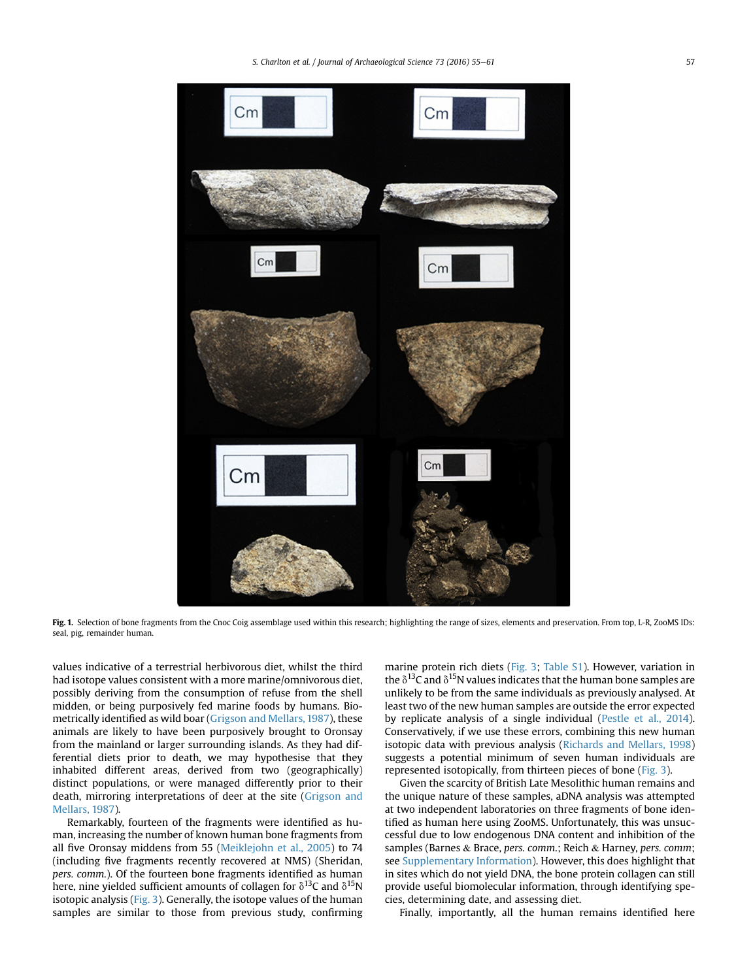<span id="page-2-0"></span>

Fig. 1. Selection of bone fragments from the Cnoc Coig assemblage used within this research; highlighting the range of sizes, elements and preservation. From top, L-R, ZooMS IDs: seal, pig, remainder human.

values indicative of a terrestrial herbivorous diet, whilst the third had isotope values consistent with a more marine/omnivorous diet, possibly deriving from the consumption of refuse from the shell midden, or being purposively fed marine foods by humans. Biometrically identified as wild boar [\(Grigson and Mellars, 1987\)](#page-5-0), these animals are likely to have been purposively brought to Oronsay from the mainland or larger surrounding islands. As they had differential diets prior to death, we may hypothesise that they inhabited different areas, derived from two (geographically) distinct populations, or were managed differently prior to their death, mirroring interpretations of deer at the site ([Grigson and](#page-5-0) [Mellars, 1987\)](#page-5-0).

Remarkably, fourteen of the fragments were identified as human, increasing the number of known human bone fragments from all five Oronsay middens from 55 ([Meiklejohn et al., 2005\)](#page-6-0) to 74 (including five fragments recently recovered at NMS) (Sheridan, pers. comm.). Of the fourteen bone fragments identified as human here, nine yielded sufficient amounts of collagen for  $\delta^{13}C$  and  $\delta^{15}N$ isotopic analysis [\(Fig. 3](#page-4-0)). Generally, the isotope values of the human samples are similar to those from previous study, confirming marine protein rich diets ([Fig. 3](#page-4-0); Table S1). However, variation in the  $\delta^{13}$ C and  $\delta^{15}$ N values indicates that the human bone samples are unlikely to be from the same individuals as previously analysed. At least two of the new human samples are outside the error expected by replicate analysis of a single individual ([Pestle et al., 2014\)](#page-6-0). Conservatively, if we use these errors, combining this new human isotopic data with previous analysis ([Richards and Mellars, 1998\)](#page-6-0) suggests a potential minimum of seven human individuals are represented isotopically, from thirteen pieces of bone [\(Fig. 3\)](#page-4-0).

Given the scarcity of British Late Mesolithic human remains and the unique nature of these samples, aDNA analysis was attempted at two independent laboratories on three fragments of bone identified as human here using ZooMS. Unfortunately, this was unsuccessful due to low endogenous DNA content and inhibition of the samples (Barnes & Brace, pers. comm.; Reich & Harney, pers. comm; see Supplementary Information). However, this does highlight that in sites which do not yield DNA, the bone protein collagen can still provide useful biomolecular information, through identifying species, determining date, and assessing diet.

Finally, importantly, all the human remains identified here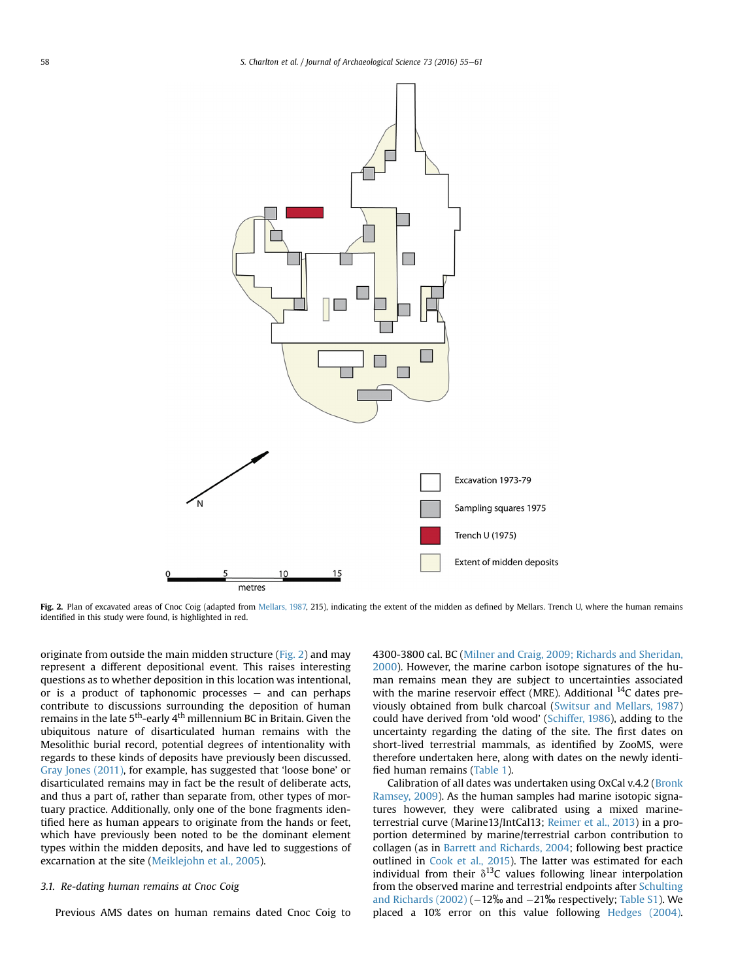<span id="page-3-0"></span>

Fig. 2. Plan of excavated areas of Cnoc Coig (adapted from [Mellars, 1987,](#page-6-0) 215), indicating the extent of the midden as defined by Mellars. Trench U, where the human remains identified in this study were found, is highlighted in red.

originate from outside the main midden structure (Fig. 2) and may represent a different depositional event. This raises interesting questions as to whether deposition in this location was intentional, or is a product of taphonomic processes  $-$  and can perhaps contribute to discussions surrounding the deposition of human remains in the late  $5<sup>th</sup>$ -early 4<sup>th</sup> millennium BC in Britain. Given the ubiquitous nature of disarticulated human remains with the Mesolithic burial record, potential degrees of intentionality with regards to these kinds of deposits have previously been discussed. [Gray Jones \(2011\),](#page-5-0) for example, has suggested that 'loose bone' or disarticulated remains may in fact be the result of deliberate acts, and thus a part of, rather than separate from, other types of mortuary practice. Additionally, only one of the bone fragments identified here as human appears to originate from the hands or feet, which have previously been noted to be the dominant element types within the midden deposits, and have led to suggestions of excarnation at the site ([Meiklejohn et al., 2005](#page-6-0)).

#### 3.1. Re-dating human remains at Cnoc Coig

Previous AMS dates on human remains dated Cnoc Coig to

4300-3800 cal. BC [\(Milner and Craig, 2009; Richards and Sheridan,](#page-6-0) [2000](#page-6-0)). However, the marine carbon isotope signatures of the human remains mean they are subject to uncertainties associated with the marine reservoir effect (MRE). Additional  $^{14}$ C dates previously obtained from bulk charcoal ([Switsur and Mellars, 1987\)](#page-6-0) could have derived from 'old wood' [\(Schiffer, 1986](#page-6-0)), adding to the uncertainty regarding the dating of the site. The first dates on short-lived terrestrial mammals, as identified by ZooMS, were therefore undertaken here, along with dates on the newly identified human remains ([Table 1\)](#page-4-0).

Calibration of all dates was undertaken using OxCal v.4.2 [\(Bronk](#page-5-0) [Ramsey, 2009](#page-5-0)). As the human samples had marine isotopic signatures however, they were calibrated using a mixed marineterrestrial curve (Marine13/IntCal13; [Reimer et al., 2013](#page-6-0)) in a proportion determined by marine/terrestrial carbon contribution to collagen (as in [Barrett and Richards, 2004;](#page-5-0) following best practice outlined in [Cook et al., 2015\)](#page-5-0). The latter was estimated for each individual from their  $\delta^{13}$ C values following linear interpolation from the observed marine and terrestrial endpoints after [Schulting](#page-6-0) and Richards  $(2002)$  ( $-12\%$  and  $-21\%$  respectively; Table S1). We placed a 10% error on this value following [Hedges \(2004\).](#page-5-0)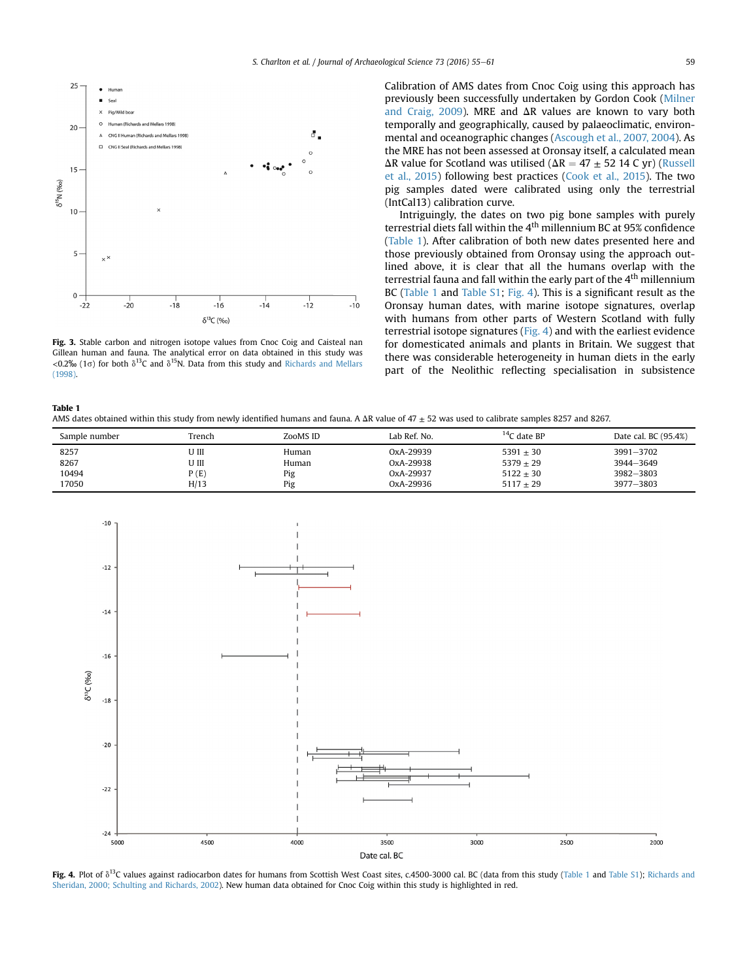<span id="page-4-0"></span>

Fig. 3. Stable carbon and nitrogen isotope values from Cnoc Coig and Caisteal nan Gillean human and fauna. The analytical error on data obtained in this study was <0.2‰ (1 $\sigma$ ) for both  $\delta^{13}C$  and  $\delta^{15}N$ . Data from this study and [Richards and Mellars](#page-6-0) [\(1998\)](#page-6-0).

Calibration of AMS dates from Cnoc Coig using this approach has previously been successfully undertaken by Gordon Cook [\(Milner](#page-6-0) [and Craig, 2009\)](#page-6-0). MRE and  $\Delta$ R values are known to vary both temporally and geographically, caused by palaeoclimatic, environmental and oceanographic changes ([Ascough et al., 2007, 2004\)](#page-5-0). As the MRE has not been assessed at Oronsay itself, a calculated mean  $\Delta$ R value for Scotland was utilised ( $\Delta$ R = 47  $\pm$  52 14 C yr) [\(Russell](#page-6-0) [et al., 2015\)](#page-6-0) following best practices [\(Cook et al., 2015\)](#page-5-0). The two pig samples dated were calibrated using only the terrestrial (IntCal13) calibration curve.

Intriguingly, the dates on two pig bone samples with purely terrestrial diets fall within the  $4<sup>th</sup>$  millennium BC at 95% confidence (Table 1). After calibration of both new dates presented here and those previously obtained from Oronsay using the approach outlined above, it is clear that all the humans overlap with the terrestrial fauna and fall within the early part of the  $4<sup>th</sup>$  millennium BC (Table 1 and Table S1; Fig. 4). This is a significant result as the Oronsay human dates, with marine isotope signatures, overlap with humans from other parts of Western Scotland with fully terrestrial isotope signatures (Fig. 4) and with the earliest evidence for domesticated animals and plants in Britain. We suggest that there was considerable heterogeneity in human diets in the early part of the Neolithic reflecting specialisation in subsistence

| <b>Table 1</b> |                                                                                                                                                         |
|----------------|---------------------------------------------------------------------------------------------------------------------------------------------------------|
|                | AMS dates obtained within this study from newly identified humans and fauna. A $\Delta R$ value of 47 + 52 was used to calibrate samples 8257 and 8267. |

| Sample number | Trench | ZooMS ID | Lab Ref. No. | $14C$ date BP | Date cal. BC (95.4%) |
|---------------|--------|----------|--------------|---------------|----------------------|
| 8257          | U III  | Human    | OxA-29939    | $5391 + 30$   | 3991-3702            |
| 8267          | U III  | Human    | OxA-29938    | $5379 + 29$   | 3944-3649            |
| 10494         | P(E)   | Pig      | OxA-29937    | $5122 + 30$   | 3982-3803            |
| 17050         | H/13   | Pig      | OxA-29936    | $5117 + 29$   | 3977-3803            |



Fig. 4. Plot of  $\delta^{13}$ C values against radiocarbon dates for humans from Scottish West Coast sites, c.4500-3000 cal. BC (data from this study (Table 1 and Table S1); [Richards and](#page-6-0) [Sheridan, 2000; Schulting and Richards, 2002](#page-6-0)). New human data obtained for Cnoc Coig within this study is highlighted in red.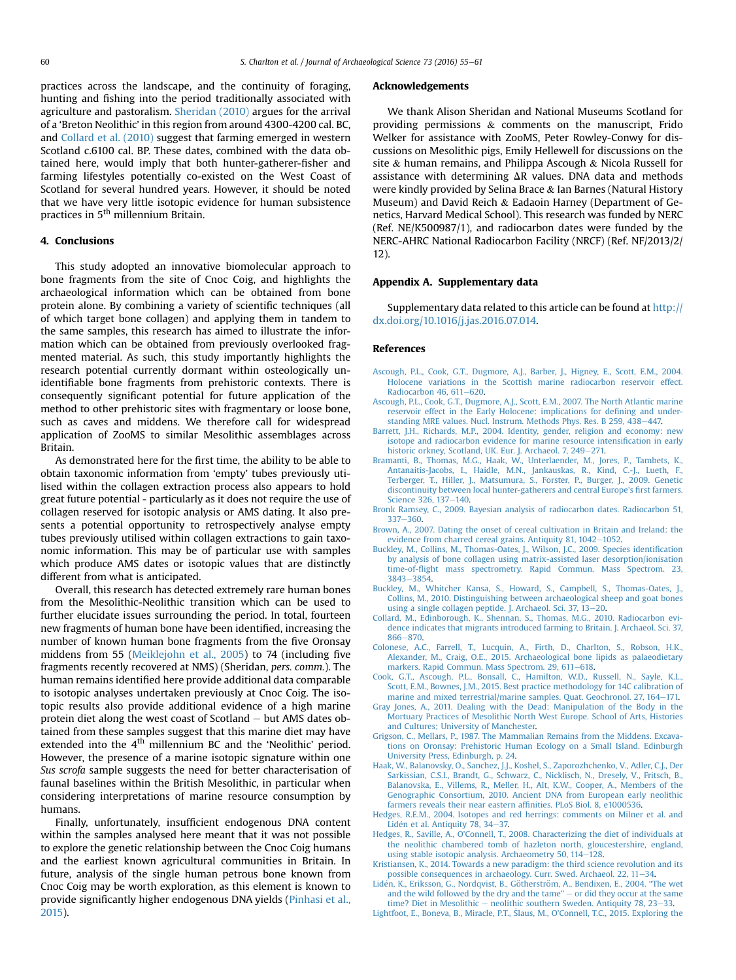<span id="page-5-0"></span>practices across the landscape, and the continuity of foraging, hunting and fishing into the period traditionally associated with agriculture and pastoralism. [Sheridan \(2010\)](#page-6-0) argues for the arrival of a 'Breton Neolithic' in this region from around 4300-4200 cal. BC, and Collard et al. (2010) suggest that farming emerged in western Scotland c.6100 cal. BP. These dates, combined with the data obtained here, would imply that both hunter-gatherer-fisher and farming lifestyles potentially co-existed on the West Coast of Scotland for several hundred years. However, it should be noted that we have very little isotopic evidence for human subsistence practices in 5<sup>th</sup> millennium Britain.

### 4. Conclusions

This study adopted an innovative biomolecular approach to bone fragments from the site of Cnoc Coig, and highlights the archaeological information which can be obtained from bone protein alone. By combining a variety of scientific techniques (all of which target bone collagen) and applying them in tandem to the same samples, this research has aimed to illustrate the information which can be obtained from previously overlooked fragmented material. As such, this study importantly highlights the research potential currently dormant within osteologically unidentifiable bone fragments from prehistoric contexts. There is consequently significant potential for future application of the method to other prehistoric sites with fragmentary or loose bone, such as caves and middens. We therefore call for widespread application of ZooMS to similar Mesolithic assemblages across Britain.

As demonstrated here for the first time, the ability to be able to obtain taxonomic information from 'empty' tubes previously utilised within the collagen extraction process also appears to hold great future potential - particularly as it does not require the use of collagen reserved for isotopic analysis or AMS dating. It also presents a potential opportunity to retrospectively analyse empty tubes previously utilised within collagen extractions to gain taxonomic information. This may be of particular use with samples which produce AMS dates or isotopic values that are distinctly different from what is anticipated.

Overall, this research has detected extremely rare human bones from the Mesolithic-Neolithic transition which can be used to further elucidate issues surrounding the period. In total, fourteen new fragments of human bone have been identified, increasing the number of known human bone fragments from the five Oronsay middens from 55 [\(Meiklejohn et al., 2005\)](#page-6-0) to 74 (including five fragments recently recovered at NMS) (Sheridan, pers. comm.). The human remains identified here provide additional data comparable to isotopic analyses undertaken previously at Cnoc Coig. The isotopic results also provide additional evidence of a high marine protein diet along the west coast of Scotland  $-$  but AMS dates obtained from these samples suggest that this marine diet may have extended into the  $4<sup>th</sup>$  millennium BC and the 'Neolithic' period. However, the presence of a marine isotopic signature within one Sus scrofa sample suggests the need for better characterisation of faunal baselines within the British Mesolithic, in particular when considering interpretations of marine resource consumption by humans.

Finally, unfortunately, insufficient endogenous DNA content within the samples analysed here meant that it was not possible to explore the genetic relationship between the Cnoc Coig humans and the earliest known agricultural communities in Britain. In future, analysis of the single human petrous bone known from Cnoc Coig may be worth exploration, as this element is known to provide significantly higher endogenous DNA yields [\(Pinhasi et al.,](#page-6-0) [2015](#page-6-0)).

#### Acknowledgements

We thank Alison Sheridan and National Museums Scotland for providing permissions & comments on the manuscript, Frido Welker for assistance with ZooMS, Peter Rowley-Conwy for discussions on Mesolithic pigs, Emily Hellewell for discussions on the site & human remains, and Philippa Ascough & Nicola Russell for assistance with determining  $\Delta R$  values. DNA data and methods were kindly provided by Selina Brace & Ian Barnes (Natural History Museum) and David Reich & Eadaoin Harney (Department of Genetics, Harvard Medical School). This research was funded by NERC (Ref. NE/K500987/1), and radiocarbon dates were funded by the NERC-AHRC National Radiocarbon Facility (NRCF) (Ref. NF/2013/2/ 12).

#### Appendix A. Supplementary data

Supplementary data related to this article can be found at [http://](http://dx.doi.org/10.1016/j.jas.2016.07.014) [dx.doi.org/10.1016/j.jas.2016.07.014.](http://dx.doi.org/10.1016/j.jas.2016.07.014)

#### References

- [Ascough, P.L., Cook, G.T., Dugmore, A.J., Barber, J., Higney, E., Scott, E.M., 2004.](http://refhub.elsevier.com/S0305-4403(16)30101-7/sref1) [Holocene variations in the Scottish marine radiocarbon reservoir effect.](http://refhub.elsevier.com/S0305-4403(16)30101-7/sref1) [Radiocarbon 46, 611](http://refhub.elsevier.com/S0305-4403(16)30101-7/sref1)-[620.](http://refhub.elsevier.com/S0305-4403(16)30101-7/sref1)
- [Ascough, P.L., Cook, G.T., Dugmore, A.J., Scott, E.M., 2007. The North Atlantic marine](http://refhub.elsevier.com/S0305-4403(16)30101-7/sref2) [reservoir effect in the Early Holocene: implications for de](http://refhub.elsevier.com/S0305-4403(16)30101-7/sref2)fining and under[standing MRE values. Nucl. Instrum. Methods Phys. Res. B 259, 438](http://refhub.elsevier.com/S0305-4403(16)30101-7/sref2)-[447.](http://refhub.elsevier.com/S0305-4403(16)30101-7/sref2)
- [Barrett, J.H., Richards, M.P., 2004. Identity, gender, religion and economy: new](http://refhub.elsevier.com/S0305-4403(16)30101-7/sref3) [isotope and radiocarbon evidence for marine resource intensi](http://refhub.elsevier.com/S0305-4403(16)30101-7/sref3)fication in early [historic orkney, Scotland, UK. Eur. J. Archaeol. 7, 249](http://refhub.elsevier.com/S0305-4403(16)30101-7/sref3)-[271.](http://refhub.elsevier.com/S0305-4403(16)30101-7/sref3)
- [Bramanti, B., Thomas, M.G., Haak, W., Unterlaender, M., Jores, P., Tambets, K.,](http://refhub.elsevier.com/S0305-4403(16)30101-7/sref4) Antanaitis-Jacobs, I., Haidle, M.N., Jankauskas, R., Kind, C.-J., Lueth, F.<br>[Terberger, T., Hiller, J., Matsumura, S., Forster, P., Burger, J., 2009. Genetic](http://refhub.elsevier.com/S0305-4403(16)30101-7/sref4) [discontinuity between local hunter-gatherers and central Europe's](http://refhub.elsevier.com/S0305-4403(16)30101-7/sref4) first farmers. [Science 326, 137](http://refhub.elsevier.com/S0305-4403(16)30101-7/sref4)-[140.](http://refhub.elsevier.com/S0305-4403(16)30101-7/sref4)
- [Bronk Ramsey, C., 2009. Bayesian analysis of radiocarbon dates. Radiocarbon 51,](http://refhub.elsevier.com/S0305-4403(16)30101-7/sref5) [337](http://refhub.elsevier.com/S0305-4403(16)30101-7/sref5)-[360](http://refhub.elsevier.com/S0305-4403(16)30101-7/sref5)
- [Brown, A., 2007. Dating the onset of cereal cultivation in Britain and Ireland: the](http://refhub.elsevier.com/S0305-4403(16)30101-7/sref6) evidence from charred cereal grains. Antiquity 81,  $1042-1052$ .
- [Buckley, M., Collins, M., Thomas-Oates, J., Wilson, J.C., 2009. Species identi](http://refhub.elsevier.com/S0305-4403(16)30101-7/sref8)fication [by analysis of bone collagen using matrix-assisted laser desorption/ionisation](http://refhub.elsevier.com/S0305-4403(16)30101-7/sref8) time-of-fl[ight mass spectrometry. Rapid Commun. Mass Spectrom. 23,](http://refhub.elsevier.com/S0305-4403(16)30101-7/sref8) [3843](http://refhub.elsevier.com/S0305-4403(16)30101-7/sref8)-[3854](http://refhub.elsevier.com/S0305-4403(16)30101-7/sref8).
- [Buckley, M., Whitcher Kansa, S., Howard, S., Campbell, S., Thomas-Oates, J.,](http://refhub.elsevier.com/S0305-4403(16)30101-7/sref9) [Collins, M., 2010. Distinguishing between archaeological sheep and goat bones](http://refhub.elsevier.com/S0305-4403(16)30101-7/sref9)
- [using a single collagen peptide. J. Archaeol. Sci. 37, 13](http://refhub.elsevier.com/S0305-4403(16)30101-7/sref9)–[20.](http://refhub.elsevier.com/S0305-4403(16)30101-7/sref9)<br>[Collard, M., Edinborough, K., Shennan, S., Thomas, M.G., 2010. Radiocarbon evi](http://refhub.elsevier.com/S0305-4403(16)30101-7/sref10)[dence indicates that migrants introduced farming to Britain. J. Archaeol. Sci. 37,](http://refhub.elsevier.com/S0305-4403(16)30101-7/sref10) [866](http://refhub.elsevier.com/S0305-4403(16)30101-7/sref10)-870
- [Colonese, A.C., Farrell, T., Lucquin, A., Firth, D., Charlton, S., Robson, H.K.,](http://refhub.elsevier.com/S0305-4403(16)30101-7/sref11) [Alexander, M., Craig, O.E., 2015. Archaeological bone lipids as palaeodietary](http://refhub.elsevier.com/S0305-4403(16)30101-7/sref11) [markers. Rapid Commun. Mass Spectrom. 29, 611](http://refhub.elsevier.com/S0305-4403(16)30101-7/sref11)-[618](http://refhub.elsevier.com/S0305-4403(16)30101-7/sref11).
- [Cook, G.T., Ascough, P.L., Bonsall, C., Hamilton, W.D., Russell, N., Sayle, K.L.,](http://refhub.elsevier.com/S0305-4403(16)30101-7/sref12) [Scott, E.M., Bownes, J.M., 2015. Best practice methodology for 14C calibration of](http://refhub.elsevier.com/S0305-4403(16)30101-7/sref12) [marine and mixed terrestrial/marine samples. Quat. Geochronol. 27, 164](http://refhub.elsevier.com/S0305-4403(16)30101-7/sref12)–[171.](http://refhub.elsevier.com/S0305-4403(16)30101-7/sref12)
- [Gray Jones, A., 2011. Dealing with the Dead: Manipulation of the Body in the](http://refhub.elsevier.com/S0305-4403(16)30101-7/sref15) [Mortuary Practices of Mesolithic North West Europe. School of Arts, Histories](http://refhub.elsevier.com/S0305-4403(16)30101-7/sref15) [and Cultures; University of Manchester.](http://refhub.elsevier.com/S0305-4403(16)30101-7/sref15)
- [Grigson, C., Mellars, P., 1987. The Mammalian Remains from the Middens. Excava](http://refhub.elsevier.com/S0305-4403(16)30101-7/sref16)[tions on Oronsay: Prehistoric Human Ecology on a Small Island. Edinburgh](http://refhub.elsevier.com/S0305-4403(16)30101-7/sref16) [University Press, Edinburgh, p. 24.](http://refhub.elsevier.com/S0305-4403(16)30101-7/sref16)
- [Haak, W., Balanovsky, O., Sanchez, J.J., Koshel, S., Zaporozhchenko, V., Adler, C.J., Der](http://refhub.elsevier.com/S0305-4403(16)30101-7/sref17) [Sarkissian, C.S.I., Brandt, G., Schwarz, C., Nicklisch, N., Dresely, V., Fritsch, B.,](http://refhub.elsevier.com/S0305-4403(16)30101-7/sref17) [Balanovska, E., Villems, R., Meller, H., Alt, K.W., Cooper, A., Members of the](http://refhub.elsevier.com/S0305-4403(16)30101-7/sref17) [Genographic Consortium, 2010. Ancient DNA from European early neolithic](http://refhub.elsevier.com/S0305-4403(16)30101-7/sref17) [farmers reveals their near eastern af](http://refhub.elsevier.com/S0305-4403(16)30101-7/sref17)finities. PLoS Biol. 8, e1000536.
- [Hedges, R.E.M., 2004. Isotopes and red herrings: comments on Milner et al. and](http://refhub.elsevier.com/S0305-4403(16)30101-7/sref19) Lidén et al. Antiquity 78, 34-[37.](http://refhub.elsevier.com/S0305-4403(16)30101-7/sref19)
- [Hedges, R., Saville, A., O'Connell, T., 2008. Characterizing the diet of individuals at](http://refhub.elsevier.com/S0305-4403(16)30101-7/sref20) [the neolithic chambered tomb of hazleton north, gloucestershire, england,](http://refhub.elsevier.com/S0305-4403(16)30101-7/sref20) [using stable isotopic analysis. Archaeometry 50, 114](http://refhub.elsevier.com/S0305-4403(16)30101-7/sref20)–[128.](http://refhub.elsevier.com/S0305-4403(16)30101-7/sref20)
- [Kristiansen, K., 2014. Towards a new paradigm: the third science revolution and its](http://refhub.elsevier.com/S0305-4403(16)30101-7/sref22) [possible consequences in archaeology. Curr. Swed. Archaeol. 22, 11](http://refhub.elsevier.com/S0305-4403(16)30101-7/sref22)-[34.](http://refhub.elsevier.com/S0305-4403(16)30101-7/sref22)
- Lidén, K., Eriksson, G., Nordqvist, B., Gö[therstr](http://refhub.elsevier.com/S0305-4403(16)30101-7/sref25)ö[m, A., Bendixen, E., 2004.](http://refhub.elsevier.com/S0305-4403(16)30101-7/sref25) "The wet [and the wild followed by the dry and the tame](http://refhub.elsevier.com/S0305-4403(16)30101-7/sref25)"  $-$  [or did they occur at the same](http://refhub.elsevier.com/S0305-4403(16)30101-7/sref25) [time? Diet in Mesolithic](http://refhub.elsevier.com/S0305-4403(16)30101-7/sref25) - [neolithic southern Sweden. Antiquity 78, 23](http://refhub.elsevier.com/S0305-4403(16)30101-7/sref25)-[33.](http://refhub.elsevier.com/S0305-4403(16)30101-7/sref25)
- [Lightfoot, E., Boneva, B., Miracle, P.T.,](http://refhub.elsevier.com/S0305-4403(16)30101-7/sref26) [Slaus, M., O'Connell, T.C., 2015. Exploring the](http://refhub.elsevier.com/S0305-4403(16)30101-7/sref26)